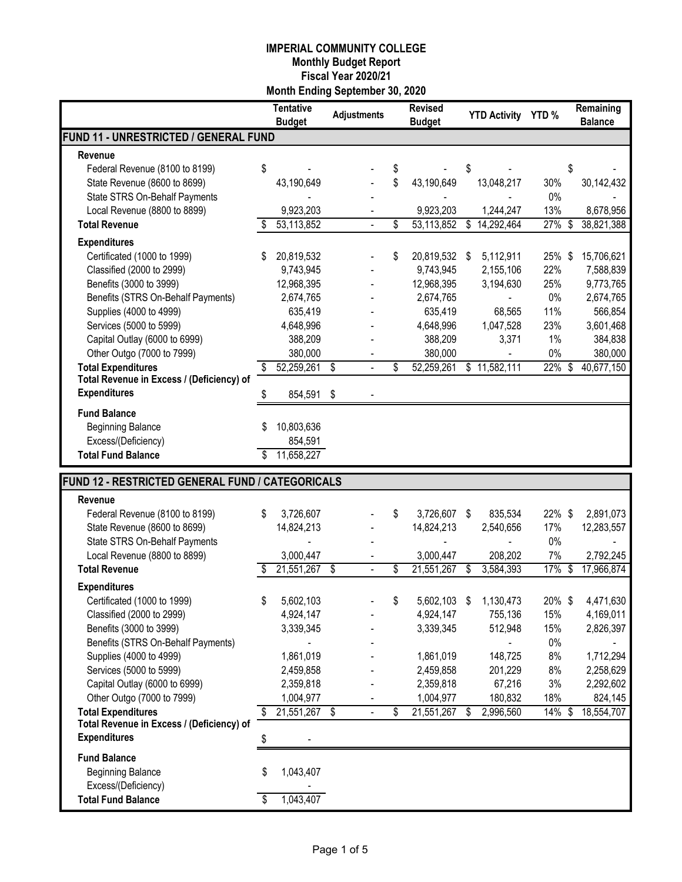|                                                  |    | <b>Tentative</b><br><b>Budget</b> | <b>Adjustments</b> |    | <b>Revised</b><br><b>Budget</b> | <b>YTD Activity</b> | YTD%   | Remaining<br><b>Balance</b> |
|--------------------------------------------------|----|-----------------------------------|--------------------|----|---------------------------------|---------------------|--------|-----------------------------|
| FUND 11 - UNRESTRICTED / GENERAL FUND            |    |                                   |                    |    |                                 |                     |        |                             |
| Revenue                                          |    |                                   |                    |    |                                 |                     |        |                             |
| Federal Revenue (8100 to 8199)                   | \$ |                                   |                    | \$ |                                 | \$                  |        | \$                          |
| State Revenue (8600 to 8699)                     |    | 43,190,649                        |                    | \$ | 43,190,649                      | 13,048,217          | 30%    | 30,142,432                  |
| State STRS On-Behalf Payments                    |    |                                   |                    |    |                                 |                     | 0%     |                             |
| Local Revenue (8800 to 8899)                     |    | 9,923,203                         |                    |    | 9,923,203                       | 1,244,247           | 13%    | 8,678,956                   |
| <b>Total Revenue</b>                             |    | 53,113,852                        |                    | \$ | 53,113,852                      | \$<br>14,292,464    | 27%    | \$<br>38,821,388            |
| <b>Expenditures</b>                              |    |                                   |                    |    |                                 |                     |        |                             |
| Certificated (1000 to 1999)                      |    | 20,819,532                        |                    | \$ | 20,819,532                      | \$<br>5,112,911     | 25% \$ | 15,706,621                  |
| Classified (2000 to 2999)                        |    | 9,743,945                         |                    |    | 9,743,945                       | 2,155,106           | 22%    | 7,588,839                   |
| Benefits (3000 to 3999)                          |    | 12,968,395                        |                    |    | 12,968,395                      | 3,194,630           | 25%    | 9,773,765                   |
| Benefits (STRS On-Behalf Payments)               |    | 2,674,765                         |                    |    | 2,674,765                       |                     | 0%     | 2,674,765                   |
| Supplies (4000 to 4999)                          |    | 635,419                           |                    |    | 635,419                         | 68,565              | 11%    | 566,854                     |
| Services (5000 to 5999)                          |    | 4,648,996                         |                    |    | 4,648,996                       | 1,047,528           | 23%    | 3,601,468                   |
| Capital Outlay (6000 to 6999)                    |    | 388,209                           |                    |    | 388,209                         | 3,371               | 1%     | 384,838                     |
| Other Outgo (7000 to 7999)                       |    | 380,000                           |                    |    | 380,000                         |                     | 0%     | 380,000                     |
| <b>Total Expenditures</b>                        | \$ | 52,259,261                        | \$                 | \$ | 52,259,261                      | \$<br>11,582,111    | 22%    | \$<br>40,677,150            |
| Total Revenue in Excess / (Deficiency) of        |    |                                   |                    |    |                                 |                     |        |                             |
| <b>Expenditures</b>                              | S  | 854,591                           | \$                 |    |                                 |                     |        |                             |
| <b>Fund Balance</b>                              |    |                                   |                    |    |                                 |                     |        |                             |
| <b>Beginning Balance</b>                         |    | 10,803,636                        |                    |    |                                 |                     |        |                             |
| Excess/(Deficiency)                              |    | 854,591                           |                    |    |                                 |                     |        |                             |
| <b>Total Fund Balance</b>                        |    | 11,658,227                        |                    |    |                                 |                     |        |                             |
|                                                  |    |                                   |                    |    |                                 |                     |        |                             |
| FUND 12 - RESTRICTED GENERAL FUND / CATEGORICALS |    |                                   |                    |    |                                 |                     |        |                             |
| Revenue                                          |    |                                   |                    |    |                                 |                     |        |                             |
| Federal Revenue (8100 to 8199)                   | \$ | 3,726,607                         |                    | S  | 3,726,607                       | \$<br>835,534       | 22%\$  | 2,891,073                   |
| State Revenue (8600 to 8699)                     |    | 14,824,213                        |                    |    | 14,824,213                      | 2,540,656           | 17%    | 12,283,557                  |
| State STRS On-Behalf Payments                    |    |                                   |                    |    |                                 |                     | 0%     |                             |
| Local Revenue (8800 to 8899)                     |    | 3,000,447                         |                    |    | 3,000,447                       | 208,202             | 7%     | 2,792,245                   |
| <b>Total Revenue</b>                             |    | 21,551,267                        | \$                 | \$ | 21,551,267                      | \$<br>3,584,393     | 17%    | \$<br>17,966,874            |
| <b>Expenditures</b>                              |    |                                   |                    |    |                                 |                     |        |                             |
| Certificated (1000 to 1999)                      | 5  | 5,602,103                         |                    | \$ | 5,602,103 \$                    | 1,130,473           | 20%\$  | 4,471,630                   |
| Classified (2000 to 2999)                        |    | 4,924,147                         |                    |    | 4,924,147                       | 755,136             | 15%    | 4,169,011                   |
| Benefits (3000 to 3999)                          |    | 3,339,345                         |                    |    | 3,339,345                       | 512,948             | 15%    | 2,826,397                   |
| Benefits (STRS On-Behalf Payments)               |    |                                   |                    |    |                                 |                     | $0\%$  |                             |
| Supplies (4000 to 4999)                          |    | 1,861,019                         |                    |    | 1,861,019                       | 148,725             | 8%     | 1,712,294                   |
| Services (5000 to 5999)                          |    | 2,459,858                         |                    |    | 2,459,858                       | 201,229             | 8%     | 2,258,629                   |
| Capital Outlay (6000 to 6999)                    |    | 2,359,818                         |                    |    | 2,359,818                       | 67,216              | 3%     | 2,292,602                   |
| Other Outgo (7000 to 7999)                       |    | 1,004,977                         |                    |    | 1,004,977                       | 180,832             | 18%    | 824,145                     |
| <b>Total Expenditures</b>                        | \$ | 21,551,267                        | -\$                | \$ | 21,551,267                      | \$<br>2,996,560     | 14% \$ | 18,554,707                  |
| Total Revenue in Excess / (Deficiency) of        |    |                                   |                    |    |                                 |                     |        |                             |
| <b>Expenditures</b>                              | \$ |                                   |                    |    |                                 |                     |        |                             |
| <b>Fund Balance</b>                              |    |                                   |                    |    |                                 |                     |        |                             |
| <b>Beginning Balance</b>                         | \$ | 1,043,407                         |                    |    |                                 |                     |        |                             |
| Excess/(Deficiency)                              |    |                                   |                    |    |                                 |                     |        |                             |
| <b>Total Fund Balance</b>                        | \$ | 1,043,407                         |                    |    |                                 |                     |        |                             |
|                                                  |    |                                   |                    |    |                                 |                     |        |                             |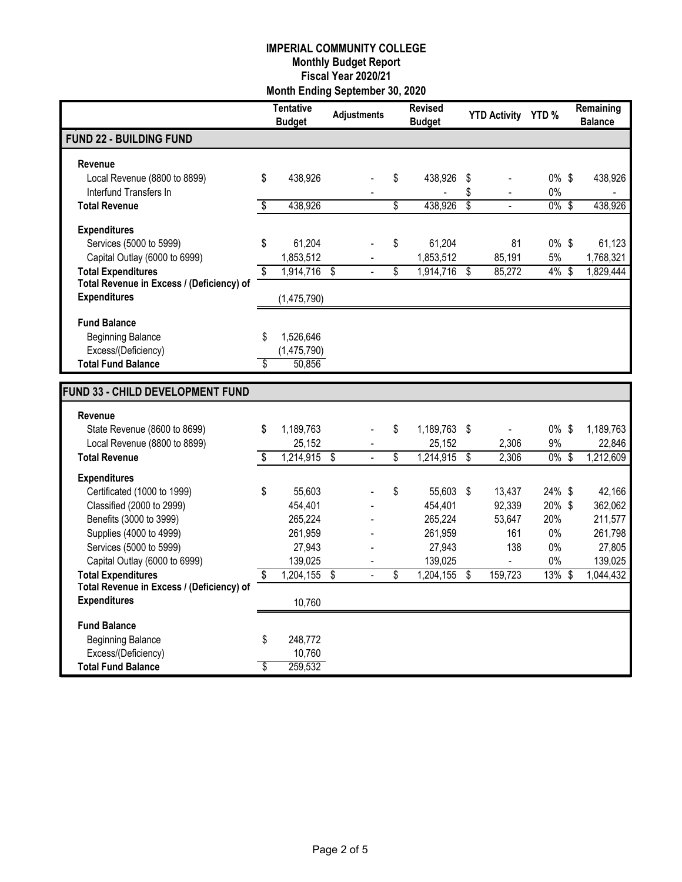|                                                                        |                          | <b>Tentative</b><br><b>Budget</b> | <b>Adjustments</b>      | <b>Revised</b><br><b>Budget</b> | YTD Activity YTD %      |           | Remaining<br><b>Balance</b> |
|------------------------------------------------------------------------|--------------------------|-----------------------------------|-------------------------|---------------------------------|-------------------------|-----------|-----------------------------|
| <b>FUND 22 - BUILDING FUND</b>                                         |                          |                                   |                         |                                 |                         |           |                             |
| Revenue                                                                |                          |                                   |                         |                                 |                         |           |                             |
| Local Revenue (8800 to 8899)                                           | \$                       | 438,926                           |                         | \$<br>438,926                   | \$                      | $0\%$ \$  | 438,926                     |
| Interfund Transfers In                                                 |                          |                                   |                         |                                 | \$                      | $0\%$     |                             |
| <b>Total Revenue</b>                                                   | \$                       | 438,926                           |                         | \$<br>438,926                   | \$<br>L.                | $0\%$ \$  | 438,926                     |
| <b>Expenditures</b>                                                    |                          |                                   |                         |                                 |                         |           |                             |
| Services (5000 to 5999)                                                | \$                       | 61,204                            |                         | \$<br>61,204                    | 81                      | 0% \$     | 61,123                      |
| Capital Outlay (6000 to 6999)                                          |                          | 1,853,512                         |                         | 1,853,512                       | 85,191                  | 5%        | 1,768,321                   |
| <b>Total Expenditures</b>                                              | $\overline{\mathcal{S}}$ | $1,914,716$ \$                    |                         | \$<br>1,914,716                 | \$<br>85,272            | $4\%$ \$  | 1,829,444                   |
| Total Revenue in Excess / (Deficiency) of<br><b>Expenditures</b>       |                          | (1,475,790)                       |                         |                                 |                         |           |                             |
|                                                                        |                          |                                   |                         |                                 |                         |           |                             |
| <b>Fund Balance</b>                                                    |                          |                                   |                         |                                 |                         |           |                             |
| <b>Beginning Balance</b>                                               | \$                       | 1,526,646                         |                         |                                 |                         |           |                             |
| Excess/(Deficiency)                                                    |                          | (1,475,790)                       |                         |                                 |                         |           |                             |
| <b>Total Fund Balance</b>                                              | \$                       | 50,856                            |                         |                                 |                         |           |                             |
| FUND 33 - CHILD DEVELOPMENT FUND                                       |                          |                                   |                         |                                 |                         |           |                             |
|                                                                        |                          |                                   |                         |                                 |                         |           |                             |
| Revenue<br>State Revenue (8600 to 8699)                                | \$                       | 1,189,763                         |                         | \$<br>1,189,763                 | \$                      | $0\%$ \$  | 1,189,763                   |
| Local Revenue (8800 to 8899)                                           |                          | 25,152                            |                         | 25,152                          | $\blacksquare$<br>2,306 | 9%        | 22,846                      |
| <b>Total Revenue</b>                                                   | \$                       | 1,214,915                         | $\overline{\$}$         | \$<br>1,214,915                 | \$<br>2,306             | $0\%$ \$  | 1,212,609                   |
| <b>Expenditures</b>                                                    |                          |                                   |                         |                                 |                         |           |                             |
| Certificated (1000 to 1999)                                            | \$                       | 55,603                            |                         | \$<br>55,603                    | \$<br>13,437            | 24% \$    | 42,166                      |
| Classified (2000 to 2999)                                              |                          | 454,401                           |                         | 454,401                         | 92,339                  | 20%\$     | 362,062                     |
| Benefits (3000 to 3999)                                                |                          | 265,224                           |                         | 265,224                         | 53,647                  | 20%       | 211,577                     |
| Supplies (4000 to 4999)                                                |                          | 261,959                           |                         | 261,959                         | 161                     | 0%        | 261,798                     |
| Services (5000 to 5999)                                                |                          | 27,943                            |                         | 27,943                          | 138                     | $0\%$     | 27,805                      |
| Capital Outlay (6000 to 6999)                                          |                          | 139,025                           |                         | 139,025                         |                         | 0%        | 139,025                     |
| <b>Total Expenditures</b><br>Total Revenue in Excess / (Deficiency) of | S                        | 1,204,155                         | $\overline{\mathbf{s}}$ | \$<br>1,204,155                 | \$<br>159,723           | $13\%$ \$ | 1,044,432                   |
| <b>Expenditures</b>                                                    |                          | 10,760                            |                         |                                 |                         |           |                             |
|                                                                        |                          |                                   |                         |                                 |                         |           |                             |
| <b>Fund Balance</b><br><b>Beginning Balance</b>                        | \$                       | 248,772                           |                         |                                 |                         |           |                             |
| Excess/(Deficiency)                                                    |                          | 10,760                            |                         |                                 |                         |           |                             |
| <b>Total Fund Balance</b>                                              | \$                       | 259,532                           |                         |                                 |                         |           |                             |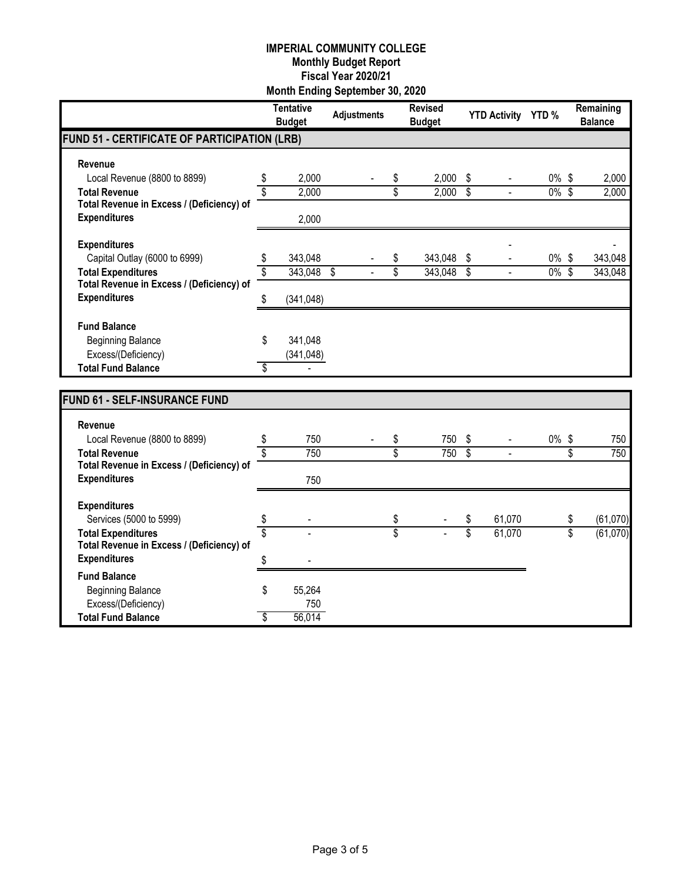|                                                                  |    | <b>Tentative</b><br><b>Budget</b> | <b>Adjustments</b>      | <b>Revised</b><br><b>Budget</b> |                         | <b>YTD Activity</b> | YTD <sub>%</sub> |                 | Remaining<br><b>Balance</b> |
|------------------------------------------------------------------|----|-----------------------------------|-------------------------|---------------------------------|-------------------------|---------------------|------------------|-----------------|-----------------------------|
| FUND 51 - CERTIFICATE OF PARTICIPATION (LRB)                     |    |                                   |                         |                                 |                         |                     |                  |                 |                             |
| <b>Revenue</b>                                                   |    |                                   |                         |                                 |                         |                     |                  |                 |                             |
| Local Revenue (8800 to 8899)                                     | \$ | 2,000                             |                         | \$<br>2,000                     | \$                      |                     | $0\%$            | \$              | 2,000                       |
| <b>Total Revenue</b>                                             | \$ | 2,000                             |                         | \$<br>2,000                     | $\overline{\mathbb{S}}$ |                     | $0\%$ \$         |                 | 2,000                       |
| Total Revenue in Excess / (Deficiency) of                        |    |                                   |                         |                                 |                         |                     |                  |                 |                             |
| <b>Expenditures</b>                                              |    | 2,000                             |                         |                                 |                         |                     |                  |                 |                             |
| <b>Expenditures</b>                                              |    |                                   |                         |                                 |                         |                     |                  |                 |                             |
| Capital Outlay (6000 to 6999)                                    | \$ | 343,048                           |                         | \$<br>343,048                   | \$                      |                     | $0\%$ \$         |                 | 343,048                     |
| <b>Total Expenditures</b>                                        | \$ | 343,048                           | $\overline{\mathbb{S}}$ | \$<br>343,048                   | s                       | $\overline{a}$      | $0\%$ \$         |                 | 343,048                     |
| Total Revenue in Excess / (Deficiency) of                        |    |                                   |                         |                                 |                         |                     |                  |                 |                             |
| <b>Expenditures</b>                                              | S  | (341, 048)                        |                         |                                 |                         |                     |                  |                 |                             |
| <b>Fund Balance</b>                                              |    |                                   |                         |                                 |                         |                     |                  |                 |                             |
| <b>Beginning Balance</b>                                         | \$ | 341,048                           |                         |                                 |                         |                     |                  |                 |                             |
| Excess/(Deficiency)                                              |    | (341, 048)                        |                         |                                 |                         |                     |                  |                 |                             |
| <b>Total Fund Balance</b>                                        | S  |                                   |                         |                                 |                         |                     |                  |                 |                             |
|                                                                  |    |                                   |                         |                                 |                         |                     |                  |                 |                             |
| <b>FUND 61 - SELF-INSURANCE FUND</b>                             |    |                                   |                         |                                 |                         |                     |                  |                 |                             |
| Revenue                                                          |    |                                   |                         |                                 |                         |                     |                  |                 |                             |
| Local Revenue (8800 to 8899)                                     | \$ | 750                               |                         | \$<br>750                       | \$                      |                     | 0%\$             |                 | 750                         |
| <b>Total Revenue</b>                                             | \$ | 750                               |                         | \$<br>750                       | \$                      |                     |                  | \$              | 750                         |
| Total Revenue in Excess / (Deficiency) of                        |    |                                   |                         |                                 |                         |                     |                  |                 |                             |
| <b>Expenditures</b>                                              |    | 750                               |                         |                                 |                         |                     |                  |                 |                             |
| <b>Expenditures</b>                                              |    |                                   |                         |                                 |                         |                     |                  |                 |                             |
| Services (5000 to 5999)                                          | \$ |                                   |                         | \$                              | \$                      | 61,070              |                  | \$              | (61,070)                    |
| <b>Total Expenditures</b>                                        | Ŝ  |                                   |                         | \$                              | $\overline{\$}$         | 61,070              |                  | $\overline{\$}$ | (61,070)                    |
| Total Revenue in Excess / (Deficiency) of<br><b>Expenditures</b> |    |                                   |                         |                                 |                         |                     |                  |                 |                             |
|                                                                  | \$ |                                   |                         |                                 |                         |                     |                  |                 |                             |
| <b>Fund Balance</b><br><b>Beginning Balance</b>                  | \$ | 55,264                            |                         |                                 |                         |                     |                  |                 |                             |
| Excess/(Deficiency)                                              |    | 750                               |                         |                                 |                         |                     |                  |                 |                             |
| <b>Total Fund Balance</b>                                        | \$ | 56,014                            |                         |                                 |                         |                     |                  |                 |                             |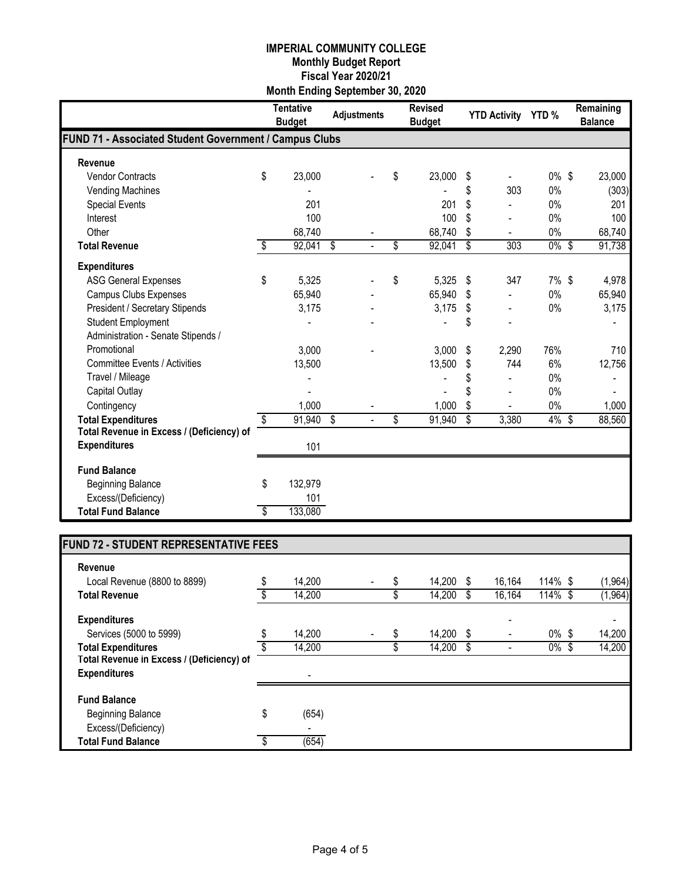|                                                        |    | <b>Tentative</b><br><b>Budget</b> | <b>Adjustments</b> | <b>Revised</b><br><b>Budget</b> | <b>YTD Activity</b> | YTD <sub>%</sub> | Remaining<br><b>Balance</b> |
|--------------------------------------------------------|----|-----------------------------------|--------------------|---------------------------------|---------------------|------------------|-----------------------------|
| FUND 71 - Associated Student Government / Campus Clubs |    |                                   |                    |                                 |                     |                  |                             |
| Revenue                                                |    |                                   |                    |                                 |                     |                  |                             |
| <b>Vendor Contracts</b>                                | \$ | 23,000                            |                    | \$<br>23,000                    | \$                  | $0\%$ \$         | 23,000                      |
| Vending Machines                                       |    |                                   |                    |                                 | \$<br>303           | $0\%$            | (303)                       |
| <b>Special Events</b>                                  |    | 201                               |                    | 201                             | \$                  | 0%               | 201                         |
| Interest                                               |    | 100                               |                    | 100                             | \$                  | 0%               | 100                         |
| Other                                                  |    | 68,740                            |                    | 68,740                          | \$                  | 0%               | 68,740                      |
| <b>Total Revenue</b>                                   | \$ | 92,041                            | \$                 | \$<br>92,041                    | \$<br>303           | $0\%$ \$         | 91,738                      |
| <b>Expenditures</b>                                    |    |                                   |                    |                                 |                     |                  |                             |
| <b>ASG General Expenses</b>                            | \$ | 5,325                             |                    | \$<br>5,325                     | \$<br>347           | $7\%$ \$         | 4,978                       |
| <b>Campus Clubs Expenses</b>                           |    | 65,940                            |                    | 65,940                          | \$                  | 0%               | 65,940                      |
| <b>President / Secretary Stipends</b>                  |    | 3,175                             |                    | 3,175                           | \$                  | 0%               | 3,175                       |
| <b>Student Employment</b>                              |    |                                   |                    |                                 | \$                  |                  |                             |
| Administration - Senate Stipends /                     |    |                                   |                    |                                 |                     |                  |                             |
| Promotional                                            |    | 3,000                             |                    | 3,000                           | \$<br>2,290         | 76%              | 710                         |
| <b>Committee Events / Activities</b>                   |    | 13,500                            |                    | 13,500                          | \$<br>744           | 6%               | 12,756                      |
| Travel / Mileage                                       |    |                                   |                    |                                 |                     | $0\%$            |                             |
| Capital Outlay                                         |    |                                   |                    |                                 | \$                  | 0%               |                             |
| Contingency                                            |    | 1,000                             |                    | 1,000                           | \$                  | 0%               | 1,000                       |
| <b>Total Expenditures</b>                              | \$ | 91,940                            | \$<br>٠            | \$<br>91,940                    | \$<br>3,380         | 4% \$            | 88,560                      |
| Total Revenue in Excess / (Deficiency) of              |    |                                   |                    |                                 |                     |                  |                             |
| <b>Expenditures</b>                                    |    | 101                               |                    |                                 |                     |                  |                             |
| <b>Fund Balance</b>                                    |    |                                   |                    |                                 |                     |                  |                             |
| <b>Beginning Balance</b>                               | \$ | 132,979                           |                    |                                 |                     |                  |                             |
| Excess/(Deficiency)                                    |    | 101                               |                    |                                 |                     |                  |                             |
| <b>Total Fund Balance</b>                              | S  | 133,080                           |                    |                                 |                     |                  |                             |

# **FUND 72 - STUDENT REPRESENTATIVE FEES**

| Revenue                                   |    |        |                          |   |        |    |        |          |                          |
|-------------------------------------------|----|--------|--------------------------|---|--------|----|--------|----------|--------------------------|
| Local Revenue (8800 to 8899)              | \$ | 14,200 | $\overline{\phantom{0}}$ | S | 14,200 | S  | 16.164 | 114% \$  | (1, 964)                 |
| <b>Total Revenue</b>                      |    | 14,200 |                          |   | 14,200 |    | 16,164 | 114% \$  | (1, 964)                 |
| <b>Expenditures</b>                       |    |        |                          |   |        |    | ٠      |          | $\overline{\phantom{0}}$ |
| Services (5000 to 5999)                   |    | 14,200 |                          |   | 14,200 | S  |        | $0\%$ \$ | 14,200                   |
| <b>Total Expenditures</b>                 |    | 14,200 |                          |   | 14,200 | \$ |        | $0\%$ \$ | 14,200                   |
| Total Revenue in Excess / (Deficiency) of |    |        |                          |   |        |    |        |          |                          |
| <b>Expenditures</b>                       |    |        |                          |   |        |    |        |          |                          |
| <b>Fund Balance</b>                       |    |        |                          |   |        |    |        |          |                          |
| <b>Beginning Balance</b>                  | \$ | (654)  |                          |   |        |    |        |          |                          |
| Excess/(Deficiency)                       |    | ۰      |                          |   |        |    |        |          |                          |
| <b>Total Fund Balance</b>                 | S  | (654)  |                          |   |        |    |        |          |                          |